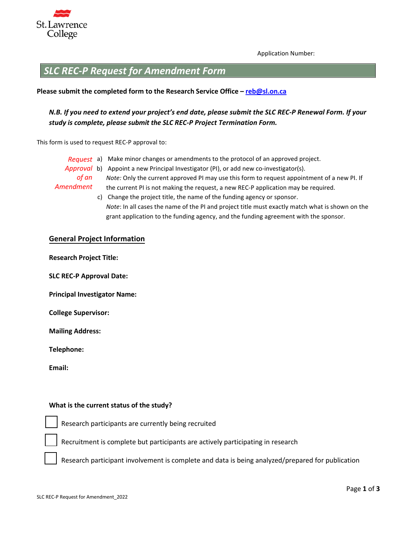

Application Number:

# *SLC REC-P Request for Amendment Form*

#### **Please submit the completed form to the Research Service Office – reb@sl.on.ca**

## *N.B. If you need to extend your project's end date, please submit the SLC REC-P Renewal Form. If your study is complete, please submit the SLC REC-P Project Termination Form.*

This form is used to request REC-P approval to:

- *Request* a) Make minor changes or amendments to the protocol of an approved project. Approval b) Appoint a new Principal Investigator (PI), or add new co-investigator(s). *of an Amendment Note:* Only the current approved PI may use this form to request appointment of a new PI. If the current PI is not making the request, a new REC-P application may be required.
	- c) Change the project title, the name of the funding agency or sponsor. *Note*: In all cases the name of the PI and project title must exactly match what is shown on the grant application to the funding agency, and the funding agreement with the sponsor.

#### **General Project Information**

**Research Project Title:** 

**SLC REC-P Approval Date:** 

**Principal Investigator Name:** 

**College Supervisor:** 

**Mailing Address:** 

**Telephone:** 

**Email:** 

#### **What is the current status of the study?**

Research participants are currently being recruited

Recruitment is complete but participants are actively participating in research

Research participant involvement is complete and data is being analyzed/prepared for publication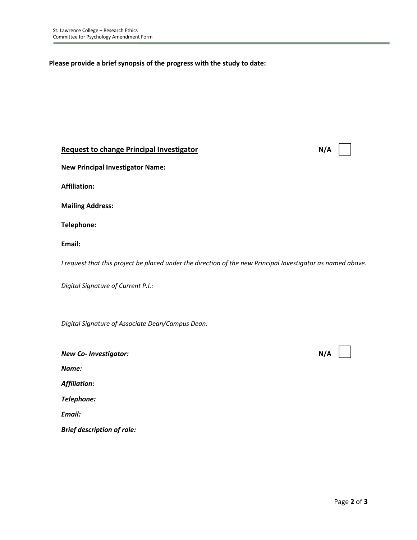**Please provide a brief synopsis of the progress with the study to date:**

## **Request to change Principal Investigator N/A**

**New Principal Investigator Name:**

**Affiliation:**

**Mailing Address:**

**Telephone:**

**Email:**

*I request that this project be placed under the direction of the new Principal Investigator as named above.*

*Digital Signature of Current P.I.:*

*Digital Signature of Associate Dean/Campus Dean:*

| <b>New Co-Investigator:</b>       | N/A |
|-----------------------------------|-----|
| Name:                             |     |
| <b>Affiliation:</b>               |     |
| Telephone:                        |     |
| Email:                            |     |
| <b>Brief description of role:</b> |     |